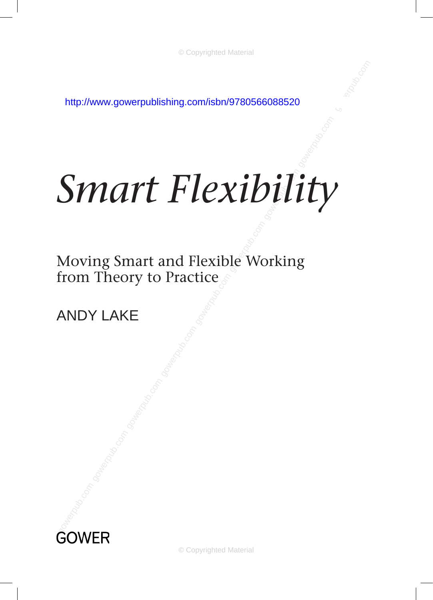http://www.gowerpublishing.com/isbn/9780566088520

# *[Smart Flexibility](http://www.gowerpublishing.com/isbn/9780566088520)*

from Theory to Practice<br>ANDY LAKE Moving Smart and Flexible Working

Andy Lake



© Copyrighted Material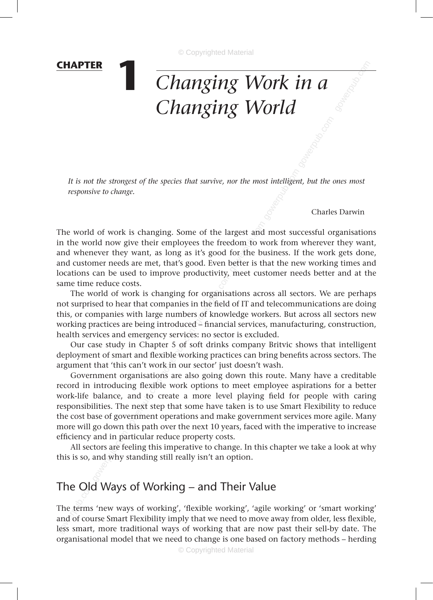#### **chapter**

## **1** *Changing Work in a Changing World*

er intelligen<br>Composition *It is not the strongest of the species that survive, nor the most intelligent, but the ones most responsive to change.*

Charles Darwin

gowerpub.com

argest and<br>dom to w<br>for the bu<br>better is the The world of work is changing. Some of the largest and most successful organisations in the world now give their employees the freedom to work from wherever they want, and whenever they want, as long as it's good for the business. If the work gets done, and customer needs are met, that's good. Even better is that the new working times and locations can be used to improve productivity, meet customer needs better and at the same time reduce costs.

r organisa<br>n the field<br>s of know!<br>d – financia The world of work is changing for organisations across all sectors. We are perhaps not surprised to hear that companies in the field of IT and telecommunications are doing this, or companies with large numbers of knowledge workers. But across all sectors new working practices are being introduced – financial services, manufacturing, construction, health services and emergency services: no sector is excluded.

Our case study in Chapter 5 of soft drinks company Britvic shows that intelligent deployment of smart and flexible working practices can bring benefits across sectors. The argument that 'this can't work in our sector' just doesn't wash.

montage practices are ourige into date the set of scalent services our case study in Chapter 5 of scalently work argument that 'this can't work in our solution of sovernment organisations are alse exceed in introducing fle Government organisations are also going down this route. Many have a creditable record in introducing flexible work options to meet employee aspirations for a better work-life balance, and to create a more level playing field for people with caring responsibilities. The next step that some have taken is to use Smart Flexibility to reduce the cost base of government operations and make government services more agile. Many more will go down this path over the next 10 years, faced with the imperative to increase efficiency and in particular reduce property costs.

All sectors are feeling this imperative to change. In this chapter we take a look at why this is so, and why standing still really isn't an option.

## The Old Ways of Working – and Their Value

The terms 'new ways of working', 'flexible working', 'agile working' or 'smart working' and of course Smart Flexibility imply that we need to move away from older, less flexible, less smart, more traditional ways of working that are now past their sell-by date. The organisational model that we need to change is one based on factory methods – herding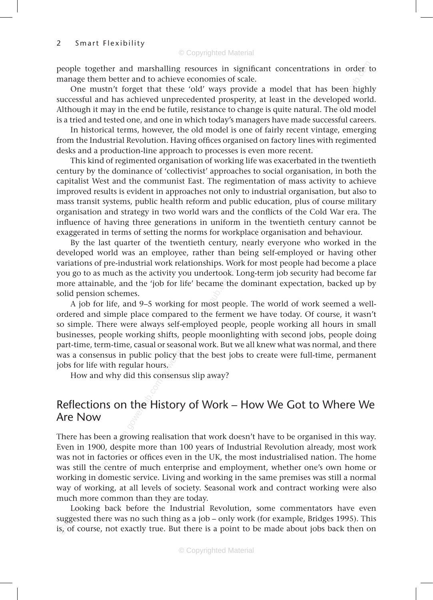manage them better and to achieve economies of scale.

people together and marshalling resources in significant concentrations in order to<br>manage them better and to achieve economies of scale.<br>One mustn't forget that these 'old' ways provide a model that has been highly<br>succes One mustn't forget that these 'old' ways provide a model that has been highly successful and has achieved unprecedented prosperity, at least in the developed world. Although it may in the end be futile, resistance to change is quite natural. The old model is a tried and tested one, and one in which today's managers have made successful careers.

ade succes<br>ent vintag<br>lines with<br>ent.<br>pated in th In historical terms, however, the old model is one of fairly recent vintage, emerging from the Industrial Revolution. Having offices organised on factory lines with regimented desks and a production-line approach to processes is even more recent.

gocial orga<br>ion of ma<br>ustrial org<br>ucation, p<br>filicts of tl This kind of regimented organisation of working life was exacerbated in the twentieth century by the dominance of 'collectivist' approaches to social organisation, in both the capitalist West and the communist East. The regimentation of mass activity to achieve improved results is evident in approaches not only to industrial organisation, but also to mass transit systems, public health reform and public education, plus of course military organisation and strategy in two world wars and the conflicts of the Cold War era. The influence of having three generations in uniform in the twentieth century cannot be exaggerated in terms of setting the norms for workplace organisation and behaviour.

orkplace o<br>ry, nearly<br>n being s<br>Vork for m By the last quarter of the twentieth century, nearly everyone who worked in the developed world was an employee, rather than being self-employed or having other variations of pre-industrial work relationships. Work for most people had become a place you go to as much as the activity you undertook. Long-term job security had become far more attainable, and the 'job for life' became the dominant expectation, backed up by solid pension schemes.

became the<br>r most pe<br>o the ferm<br>ploved pe A job for life, and 9–5 working for most people. The world of work seemed a wellordered and simple place compared to the ferment we have today. Of course, it wasn't so simple. There were always self-employed people, people working all hours in small businesses, people working shifts, people moonlighting with second jobs, people doing part-time, term-time, casual or seasonal work. But we all knew what was normal, and there was a consensus in public policy that the best jobs to create were full-time, permanent jobs for life with regular hours.

How and why did this consensus slip away?

## Reflections on the History of Work – How We Got to Where We Are Now

be simpled there are already sum emporanted and suppose on the positions are constrained was a consensus in public policy that lobs for life with regular hours. How and why did this consensus sl<br>Reflections on the History There has been a growing realisation that work doesn't have to be organised in this way. Even in 1900, despite more than 100 years of Industrial Revolution already, most work was not in factories or offices even in the UK, the most industrialised nation. The home was still the centre of much enterprise and employment, whether one's own home or working in domestic service. Living and working in the same premises was still a normal way of working, at all levels of society. Seasonal work and contract working were also much more common than they are today.

Looking back before the Industrial Revolution, some commentators have even suggested there was no such thing as a job – only work (for example, Bridges 1995). This is, of course, not exactly true. But there is a point to be made about jobs back then on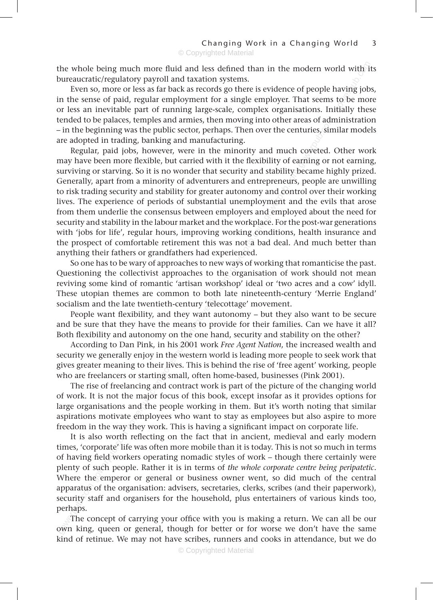bureaucratic/regulatory payroll and taxation systems.

reas of adr<br>nturies, sin<br>coveted.<br>arning or 1 the whole being much more fluid and less defined than in the modern world with its<br>bureaucratic/regulatory payroll and taxation systems.<br>Even so, more or less as far back as records go there is evidence of people having jo Even so, more or less as far back as records go there is evidence of people having jobs, in the sense of paid, regular employment for a single employer. That seems to be more or less an inevitable part of running large-scale, complex organisations. Initially these tended to be palaces, temples and armies, then moving into other areas of administration – in the beginning was the public sector, perhaps. Then over the centuries, similar models are adopted in trading, banking and manufacturing.

e workplaa<br>s not a ba<br>srienced.<br>vays of wo stability to<br>epreneurs,<br>and contri<br>gment and<br>d employees Regular, paid jobs, however, were in the minority and much coveted. Other work may have been more flexible, but carried with it the flexibility of earning or not earning, surviving or starving. So it is no wonder that security and stability became highly prized. Generally, apart from a minority of adventurers and entrepreneurs, people are unwilling to risk trading security and stability for greater autonomy and control over their working lives. The experience of periods of substantial unemployment and the evils that arose from them underlie the consensus between employers and employed about the need for security and stability in the labour market and the workplace. For the post-war generations with 'jobs for life', regular hours, improving working conditions, health insurance and the prospect of comfortable retirement this was not a bad deal. And much better than anything their fathers or grandfathers had experienced.

es to the<br>an worksh<br>to both la<br>ry 'telecot<br>want autors So one has to be wary of approaches to new ways of working that romanticise the past. Questioning the collectivist approaches to the organisation of work should not mean reviving some kind of romantic 'artisan workshop' ideal or 'two acres and a cow' idyll. These utopian themes are common to both late nineteenth-century 'Merrie England' socialism and the late twentieth-century 'telecottage' movement.

People want flexibility, and they want autonomy – but they also want to be secure and be sure that they have the means to provide for their families. Can we have it all? Both flexibility and autonomy on the one hand, security and stability on the other?

According to Dan Pink, in his 2001 work *Free Agent Nation*, the increased wealth and security we generally enjoy in the western world is leading more people to seek work that gives greater meaning to their lives. This is behind the rise of 'free agent' working, people who are freelancers or starting small, often home-based, businesses (Pink 2001).

The rise of freelancing and contract work is part of the picture of the changing world of work. It is not the major focus of this book, except insofar as it provides options for large organisations and the people working in them. But it's worth noting that similar aspirations motivate employees who want to stay as employees but also aspire to more freedom in the way they work. This is having a significant impact on corporate life.

Both flexibility and autonomy on the concert and they have the meaning Both flexibility and autonomy on the concerting security we generally enjoy in the west gives greater meaning to their lives. The who are freelancers o It is also worth reflecting on the fact that in ancient, medieval and early modern times, 'corporate' life was often more mobile than it is today. This is not so much in terms of having field workers operating nomadic styles of work – though there certainly were plenty of such people. Rather it is in terms of *the whole corporate centre being peripatetic*. Where the emperor or general or business owner went, so did much of the central apparatus of the organisation: advisers, secretaries, clerks, scribes (and their paperwork), security staff and organisers for the household, plus entertainers of various kinds too, perhaps.

The concept of carrying your office with you is making a return. We can all be our own king, queen or general, though for better or for worse we don't have the same kind of retinue. We may not have scribes, runners and cooks in attendance, but we do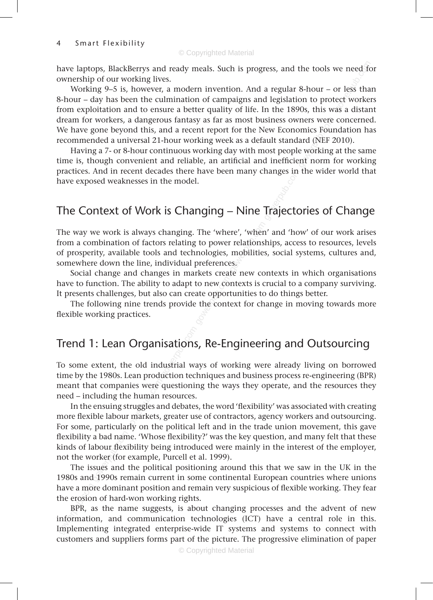ownership of our working lives.

mers were<br>ard (NEF 2<br>e working<br>ent norm have laptops, BlackBerrys and ready meals. Such is progress, and the tools we need for<br>
ownership of our working lives.<br>
Working 9–5 is, however, a modern invention. And a regular 8-hour – or less than<br>
8-hour – day has be Working 9–5 is, however, a modern invention. And a regular 8-hour – or less than 8-hour – day has been the culmination of campaigns and legislation to protect workers from exploitation and to ensure a better quality of life. In the 1890s, this was a distant dream for workers, a dangerous fantasy as far as most business owners were concerned. We have gone beyond this, and a recent report for the New Economics Foundation has recommended a universal 21-hour working week as a default standard (NEF 2010).

practices. And in recent decades there have been many changes in the wider world that<br>have exposed weaknesses in the model.<br>The Context of Work is Changing – Nine Trajectories of Change Having a 7- or 8-hour continuous working day with most people working at the same time is, though convenient and reliable, an artificial and inefficient norm for working practices. And in recent decades there have been many changes in the wider world that have exposed weaknesses in the model.

ere', 'when<br>relations:<br>mobilities<br>ss.<br>te new co The way we work is always changing. The 'where', 'when' and 'how' of our work arises from a combination of factors relating to power relationships, access to resources, levels of prosperity, available tools and technologies, mobilities, social systems, cultures and, somewhere down the line, individual preferences.

ricers create<br>to new conte<br>the conte<br>of Social change and changes in markets create new contexts in which organisations have to function. The ability to adapt to new contexts is crucial to a company surviving. It presents challenges, but also can create opportunities to do things better.

The following nine trends provide the context for change in moving towards more flexible working practices.

## Trend 1: Lean Organisations, Re-Engineering and Outsourcing

To some extent, the old industrial ways of working were already living on borrowed time by the 1980s. Lean production techniques and business process re-engineering (BPR) meant that companies were questioning the ways they operate, and the resources they need – including the human resources.

Trend 1: Lean Organisations<br>To some extent, the old industrial was<br>time by the 1980s. Lean production tecoment that companies were questionineed – including the human resources.<br>In the ensuing struggles and debates<br>more fl In the ensuing struggles and debates, the word 'flexibility' was associated with creating more flexible labour markets, greater use of contractors, agency workers and outsourcing. For some, particularly on the political left and in the trade union movement, this gave flexibility a bad name. 'Whose flexibility?' was the key question, and many felt that these kinds of labour flexibility being introduced were mainly in the interest of the employer, not the worker (for example, Purcell et al. 1999).

The issues and the political positioning around this that we saw in the UK in the 1980s and 1990s remain current in some continental European countries where unions have a more dominant position and remain very suspicious of flexible working. They fear the erosion of hard-won working rights.

BPR, as the name suggests, is about changing processes and the advent of new information, and communication technologies (ICT) have a central role in this. Implementing integrated enterprise-wide IT systems and systems to connect with customers and suppliers forms part of the picture. The progressive elimination of paper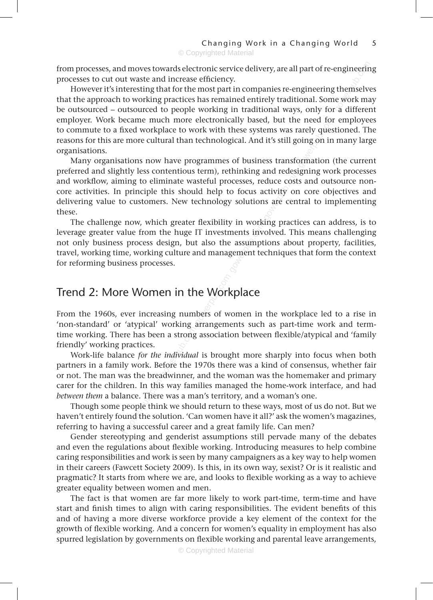processes to cut out waste and increase efficiency.

e need to<br>arely ques<br>oing on in<br>ormation from processes, and moves towards electronic service delivery, are all part of re-engineering<br>processes to cut out waste and increase efficiency.<br>However it's interesting that for the most part in companies re-engineering However it's interesting that for the most part in companies re-engineering themselves that the approach to working practices has remained entirely traditional. Some work may be outsourced – outsourced to people working in traditional ways, only for a different employer. Work became much more electronically based, but the need for employees to commute to a fixed workplace to work with these systems was rarely questioned. The reasons for this are more cultural than technological. And it's still going on in many large organisations.

and redesi<br>clivity on<br>is are cent<br>ing presti Many organisations now have programmes of business transformation (the current preferred and slightly less contentious term), rethinking and redesigning work processes and workflow, aiming to eliminate wasteful processes, reduce costs and outsource noncore activities. In principle this should help to focus activity on core objectives and delivering value to customers. New technology solutions are central to implementing these.

gower<br>ments inverse<br>exampt<br>gement tee The challenge now, which greater flexibility in working practices can address, is to leverage greater value from the huge IT investments involved. This means challenging not only business process design, but also the assumptions about property, facilities, travel, working time, working culture and management techniques that form the context for reforming business processes.

### Trend 2: More Women in the Workplace

e Work<br>ubers of w<br>arrangeme From the 1960s, ever increasing numbers of women in the workplace led to a rise in 'non-standard' or 'atypical' working arrangements such as part-time work and termtime working. There has been a strong association between flexible/atypical and 'family friendly' working practices.

Work-life balance *for the individual* is brought more sharply into focus when both partners in a family work. Before the 1970s there was a kind of consensus, whether fair or not. The man was the breadwinner, and the woman was the homemaker and primary carer for the children. In this way families managed the home-work interface, and had *between them* a balance. There was a man's territory, and a woman's one.

Though some people think we should return to these ways, most of us do not. But we haven't entirely found the solution. 'Can women have it all?' ask the women's magazines, referring to having a successful career and a great family life. Can men?

From extrame of any pread above the medicine working. There has been a strong friendly' working practices.<br>Work-life balance *for the individua* partners in a family work. Before the 1<br>or not. The man was the breadwinner, Gender stereotyping and genderist assumptions still pervade many of the debates and even the regulations about flexible working. Introducing measures to help combine caring responsibilities and work is seen by many campaigners as a key way to help women in their careers (Fawcett Society 2009). Is this, in its own way, sexist? Or is it realistic and pragmatic? It starts from where we are, and looks to flexible working as a way to achieve greater equality between women and men.

The fact is that women are far more likely to work part-time, term-time and have start and finish times to align with caring responsibilities. The evident benefits of this and of having a more diverse workforce provide a key element of the context for the growth of flexible working. And a concern for women's equality in employment has also spurred legislation by governments on flexible working and parental leave arrangements,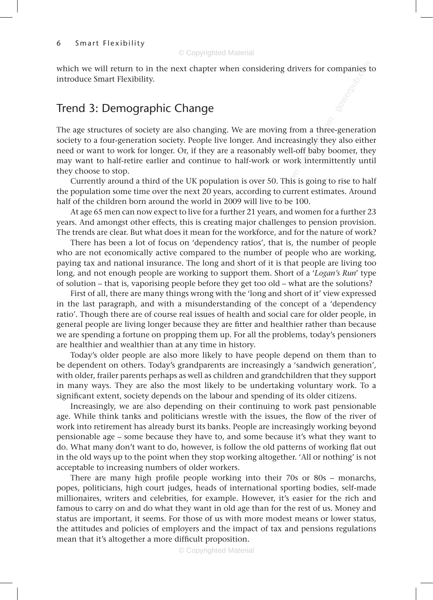which we will return to in the next chapter when considering drivers for companies to introduce Smart Flexibility.<br>Trend 3: Demographic Change introduce Smart Flexibility.

## Trend 3: Demographic Change

om a three<br>singly they<br>off baby be<br>k intermit The age structures of society are also changing. We are moving from a three-generation society to a four-generation society. People live longer. And increasingly they also either need or want to work for longer. Or, if they are a reasonably well-off baby boomer, they may want to half-retire earlier and continue to half-work or work intermittently until they choose to stop.

gower 50. This is<br>to curre<br>ve to be 1<br>ears, and w Currently around a third of the UK population is over 50. This is going to rise to half the population some time over the next 20 years, according to current estimates. Around half of the children born around the world in 2009 will live to be 100.

At age 65 men can now expect to live for a further 21 years, and women for a further 23 years. And amongst other effects, this is creating major challenges to pension provision. The trends are clear. But what does it mean for the workforce, and for the nature of work?

g major cr<br>ne workfor<br>cy ratios',<br>the numb<br>d short of<br>moot ther There has been a lot of focus on 'dependency ratios', that is, the number of people who are not economically active compared to the number of people who are working, paying tax and national insurance. The long and short of it is that people are living too long, and not enough people are working to support them. Short of a '*Logan's Run*' type

for solution – that is, vaporising people before they get too old – what are the solutions?<br>First of all, there are many things wrong with the 'long and short of it' view expresse<br>in the last paragraph, and with a misunder First of all, there are many things wrong with the 'long and short of it' view expressed in the last paragraph, and with a misunderstanding of the concept of a 'dependency ratio'. Though there are of course real issues of health and social care for older people, in general people are living longer because they are fitter and healthier rather than because we are spending a fortune on propping them up. For all the problems, today's pensioners are healthier and wealthier than at any time in history.

Today's older people are also more likely to have people depend on them than to be dependent on others. Today's grandparents are increasingly a 'sandwich generation', with older, frailer parents perhaps as well as children and grandchildren that they support in many ways. They are also the most likely to be undertaking voluntary work. To a significant extent, society depends on the labour and spending of its older citizens.

gower are proped are also and the one propping<br>are are spending a fortune on propping<br>are healthier and wealthier than at any<br>Today's older people are also more<br>of dependent on others. Today's grance<br>with older, frailer pa Increasingly, we are also depending on their continuing to work past pensionable age. While think tanks and politicians wrestle with the issues, the flow of the river of work into retirement has already burst its banks. People are increasingly working beyond pensionable age – some because they have to, and some because it's what they want to do. What many don't want to do, however, is follow the old patterns of working flat out in the old ways up to the point when they stop working altogether. 'All or nothing' is not acceptable to increasing numbers of older workers.

There are many high profile people working into their 70s or 80s – monarchs, popes, politicians, high court judges, heads of international sporting bodies, self-made millionaires, writers and celebrities, for example. However, it's easier for the rich and famous to carry on and do what they want in old age than for the rest of us. Money and status are important, it seems. For those of us with more modest means or lower status, the attitudes and policies of employers and the impact of tax and pensions regulations mean that it's altogether a more difficult proposition.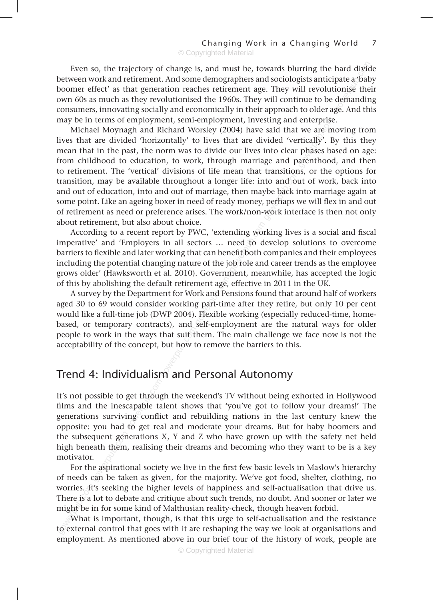Even so, the trajectory of change is, and must be, towards blurring the hard divide<br>ween work and retirement. And some demographers and sociologists anticipate a 'baby<br>mer effect' as that generation reaches retirement age. between work and retirement. And some demographers and sociologists anticipate a 'baby boomer effect' as that generation reaches retirement age. They will revolutionise their own 60s as much as they revolutionised the 1960s. They will continue to be demanding consumers, innovating socially and economically in their approach to older age. And this may be in terms of employment, semi-employment, investing and enterprise.

transition<br>to and ou<br>ybe back i<br>perhaps v<br>work inte enterprise<br>we are m<br>rtically'. E<br>phases ba<br>arenthood Michael Moynagh and Richard Worsley (2004) have said that we are moving from lives that are divided 'horizontally' to lives that are divided 'vertically'. By this they mean that in the past, the norm was to divide our lives into clear phases based on age: from childhood to education, to work, through marriage and parenthood, and then to retirement. The 'vertical' divisions of life mean that transitions, or the options for transition, may be available throughout a longer life: into and out of work, back into and out of education, into and out of marriage, then maybe back into marriage again at some point. Like an ageing boxer in need of ready money, perhaps we will flex in and out of retirement as need or preference arises. The work/non-work interface is then not only about retirement, but also about choice.

nding won<br>need to d<br>nefit both ob<br>pent mea According to a recent report by PWC, 'extending working lives is a social and fiscal imperative' and 'Employers in all sectors … need to develop solutions to overcome barriers to flexible and later working that can benefit both companies and their employees including the potential changing nature of the job role and career trends as the employee grows older' (Hawksworth et al. 2010). Government, meanwhile, has accepted the logic of this by abolishing the default retirement age, effective in 2011 in the UK.

external<br>ment age,<br>prk and Pe:<br>g part-tim<br>self-emple A survey by the Department for Work and Pensions found that around half of workers aged 30 to 69 would consider working part-time after they retire, but only 10 per cent would like a full-time job (DWP 2004). Flexible working (especially reduced-time, homebased, or temporary contracts), and self-employment are the natural ways for older people to work in the ways that suit them. The main challenge we face now is not the acceptability of the concept, but how to remove the barriers to this.

## Trend 4: Individualism and Personal Autonomy

gower, or compount contracts), and<br>people to work in the ways that suit t<br>acceptability of the concept, but how t<br>**Trend 4: Individualism and l**<br>It's not possible to get through the we<br>films and the inescapable talent sh It's not possible to get through the weekend's TV without being exhorted in Hollywood films and the inescapable talent shows that 'you've got to follow your dreams!' The generations surviving conflict and rebuilding nations in the last century knew the opposite: you had to get real and moderate your dreams. But for baby boomers and the subsequent generations X, Y and Z who have grown up with the safety net held high beneath them, realising their dreams and becoming who they want to be is a key motivator.

For the aspirational society we live in the first few basic levels in Maslow's hierarchy of needs can be taken as given, for the majority. We've got food, shelter, clothing, no worries. It's seeking the higher levels of happiness and self-actualisation that drive us. There is a lot to debate and critique about such trends, no doubt. And sooner or later we might be in for some kind of Malthusian reality-check, though heaven forbid.

What is important, though, is that this urge to self-actualisation and the resistance to external control that goes with it are reshaping the way we look at organisations and employment. As mentioned above in our brief tour of the history of work, people are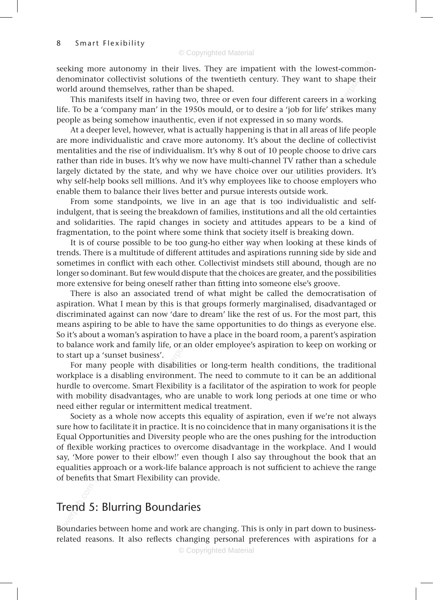t-common<br>shape the<br>n a workin<br>trikes man seeking more autonomy in their lives. They are impatient with the lowest-commondenominator collectivist solutions of the twentieth century. They want to shape their world around themselves, rather than be shaped.

This manifests itself in having two, three or even four different careers in a working life. To be a 'company man' in the 1950s mould, or to desire a 'job for life' strikes many people as being somehow inauthentic, even if not expressed in so many words.

byer our us<br>s like to chests outside<br>s too ind<br>tudes are many wore<br>all areas o<br>decline of<br>le choose t<br>ather than At a deeper level, however, what is actually happening is that in all areas of life people are more individualistic and crave more autonomy. It's about the decline of collectivist mentalities and the rise of individualism. It's why 8 out of 10 people choose to drive cars rather than ride in buses. It's why we now have multi-channel TV rather than a schedule largely dictated by the state, and why we have choice over our utilities providers. It's why self-help books sell millions. And it's why employees like to choose employers who enable them to balance their lives better and pursue interests outside work.

From some standpoints, we live in an age that is too individualistic and selfindulgent, that is seeing the breakdown of families, institutions and all the old certainties and solidarities. The rapid changes in society and attitudes appears to be a kind of fragmentation, to the point where some think that society itself is breaking down.

and attitude<br>that society<br>ther way v<br>and aspirity<br>the choices It is of course possible to be too gung-ho either way when looking at these kinds of trends. There is a multitude of different attitudes and aspirations running side by side and sometimes in conflict with each other. Collectivist mindsets still abound, though are no longer so dominant. But few would dispute that the choices are greater, and the possibilities more extensive for being oneself rather than fitting into someone else's groove.

r than fitti<br>of what if<br>t groups f<br>t groups dream' li<br>same opp There is also an associated trend of what might be called the democratisation of aspiration. What I mean by this is that groups formerly marginalised, disadvantaged or discriminated against can now 'dare to dream' like the rest of us. For the most part, this means aspiring to be able to have the same opportunities to do things as everyone else. So it's about a woman's aspiration to have a place in the board room, a parent's aspiration to balance work and family life, or an older employee's aspiration to keep on working or to start up a 'sunset business'.

For many people with disabilities or long-term health conditions, the traditional workplace is a disabling environment. The need to commute to it can be an additional hurdle to overcome. Smart Flexibility is a facilitator of the aspiration to work for people with mobility disadvantages, who are unable to work long periods at one time or who need either regular or intermittent medical treatment.

means arguing to be also intered into the conduct of the conduct of the conduct of the conduct of the conducts. For many people with disabilities workplace is a disabling environment. And the covercome. Smart Flexibility i Society as a whole now accepts this equality of aspiration, even if we're not always sure how to facilitate it in practice. It is no coincidence that in many organisations it is the Equal Opportunities and Diversity people who are the ones pushing for the introduction of flexible working practices to overcome disadvantage in the workplace. And I would say, 'More power to their elbow!' even though I also say throughout the book that an equalities approach or a work-life balance approach is not sufficient to achieve the range of benefits that Smart Flexibility can provide.

## Trend 5: Blurring Boundaries

Boundaries between home and work are changing. This is only in part down to businessrelated reasons. It also reflects changing personal preferences with aspirations for a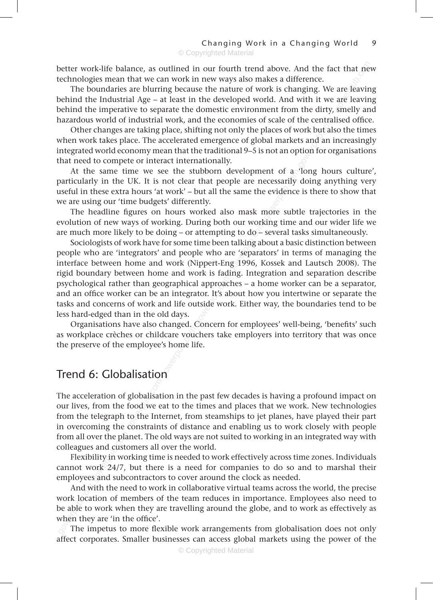better work-life balance, as outlined in our fourth trend above. And the fact that new technologies mean that we can work in new ways also makes a difference.

ct that ne<br>are leavir<br>are leavir<br>smelly are The boundaries are blurring because the nature of work is changing. We are leaving behind the Industrial Age – at least in the developed world. And with it we are leaving behind the imperative to separate the domestic environment from the dirty, smelly and hazardous world of industrial work, and the economies of scale of the centralised office.

the centra<br>vork but al<br>ts and an<br>otion for or<br>co Other changes are taking place, shifting not only the places of work but also the times when work takes place. The accelerated emergence of global markets and an increasingly integrated world economy mean that the traditional 9–5 is not an option for organisations that need to compete or interact internationally.

ent or a<br>ecessarily<br>e evidence<br>more subt At the same time we see the stubborn development of a 'long hours culture', particularly in the UK. It is not clear that people are necessarily doing anything very useful in these extra hours 'at work' – but all the same the evidence is there to show that we are using our 'time budgets' differently.

The headline figures on hours worked also mask more subtle trajectories in the evolution of new ways of working. During both our working time and our wider life we are much more likely to be doing – or attempting to do $-$  several tasks simultaneously.

ork is fact<br>al approaci<br>ator. It's al<br>ttside wor<br>Concern f g to do-<br>talking ab<br>re 'separat<br>g 1996, K Sociologists of work have for some time been talking about a basic distinction between people who are 'integrators' and people who are 'separators' in terms of managing the interface between home and work (Nippert-Eng 1996, Kossek and Lautsch 2008). The rigid boundary between home and work is fading. Integration and separation describe psychological rather than geographical approaches – a home worker can be a separator, and an office worker can be an integrator. It's about how you intertwine or separate the tasks and concerns of work and life outside work. Either way, the boundaries tend to be less hard-edged than in the old days.

Organisations have also changed. Concern for employees' well-being, 'benefits' such as workplace crèches or childcare vouchers take employers into territory that was once the preserve of the employee's home life.

## Trend 6: Globalisation

gournalism and also enally<br>as workplace crèches or childcare vout<br>the preserve of the employee's home li<br>Trend 6: Globalisation<br>The acceleration of globalisation in the<br>our lives, from the food we eat to the<br>from the teleg The acceleration of globalisation in the past few decades is having a profound impact on our lives, from the food we eat to the times and places that we work. New technologies from the telegraph to the Internet, from steamships to jet planes, have played their part in overcoming the constraints of distance and enabling us to work closely with people from all over the planet. The old ways are not suited to working in an integrated way with colleagues and customers all over the world.

Flexibility in working time is needed to work effectively across time zones. Individuals cannot work 24/7, but there is a need for companies to do so and to marshal their employees and subcontractors to cover around the clock as needed.

And with the need to work in collaborative virtual teams across the world, the precise work location of members of the team reduces in importance. Employees also need to be able to work when they are travelling around the globe, and to work as effectively as when they are 'in the office'.

The impetus to more flexible work arrangements from globalisation does not only affect corporates. Smaller businesses can access global markets using the power of the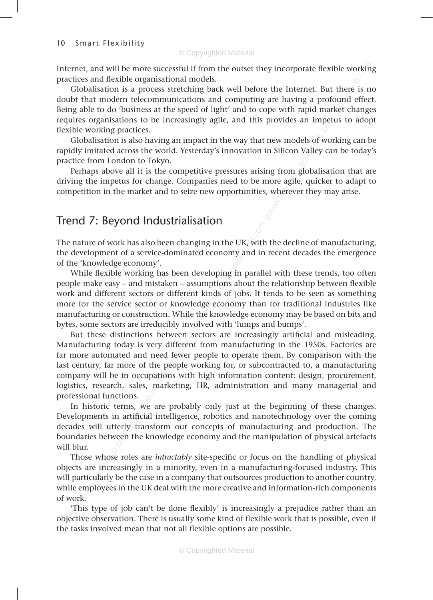practices and flexible organisational models.

Internet, and will be more successful if from the outset they incorporate flexible working<br>practices and flexible organisational models.<br>Globalisation is a process stretching back well before the Internet. But there is no<br> Globalisation is a process stretching back well before the Internet. But there is no doubt that modern telecommunications and computing are having a profound effect. Being able to do 'business at the speed of light' and to cope with rapid market changes requires organisations to be increasingly agile, and this provides an impetus to adopt flexible working practices.

an impet<br>dels of wor<br>Valley can<br>computed in the computation Globalisation is also having an impact in the way that new models of working can be rapidly imitated across the world. Yesterday's innovation in Silicon Valley can be today's practice from London to Tokyo.

ing from<br>more agile<br>s, wherever Perhaps above all it is the competitive pressures arising from globalisation that are driving the impetus for change. Companies need to be more agile, quicker to adapt to competition in the market and to seize new opportunities, wherever they may arise.

## Trend 7: Beyond Industrialisation

e UK, with<br>my and in<br>r in parall The nature of work has also been changing in the UK, with the decline of manufacturing, the development of a service-dominated economy and in recent decades the emergence of the 'knowledge economy'.

wince nextice working has been developing in paramer with these trends, too often<br>people make easy – and mistaken – assumptions about the relationship between flexible<br>work and different sectors or different kinds of jobs. While flexible working has been developing in parallel with these trends, too often work and different sectors or different kinds of jobs. It tends to be seen as something more for the service sector or knowledge economy than for traditional industries like manufacturing or construction. While the knowledge economy may be based on bits and bytes, some sectors are irreducibly involved with 'lumps and bumps'.

But these distinctions between sequences but these distinctions between sequences of the people wompany will be in occupations with logistics, research, sales, marketing, professional functions. In historic terms, we are p But these distinctions between sectors are increasingly artificial and misleading. Manufacturing today is very different from manufacturing in the 1950s. Factories are far more automated and need fewer people to operate them. By comparison with the last century, far more of the people working for, or subcontracted to, a manufacturing company will be in occupations with high information content: design, procurement, logistics, research, sales, marketing, HR, administration and many managerial and professional functions.

In historic terms, we are probably only just at the beginning of these changes. Developments in artificial intelligence, robotics and nanotechnology over the coming decades will utterly transform our concepts of manufacturing and production. The boundaries between the knowledge economy and the manipulation of physical artefacts will blur.

Those whose roles are *intractably* site-specific or focus on the handling of physical objects are increasingly in a minority, even in a manufacturing-focused industry. This will particularly be the case in a company that outsources production to another country, while employees in the UK deal with the more creative and information-rich components of work.

'This type of job can't be done flexibly' is increasingly a prejudice rather than an objective observation. There is usually some kind of flexible work that is possible, even if the tasks involved mean that not all flexible options are possible.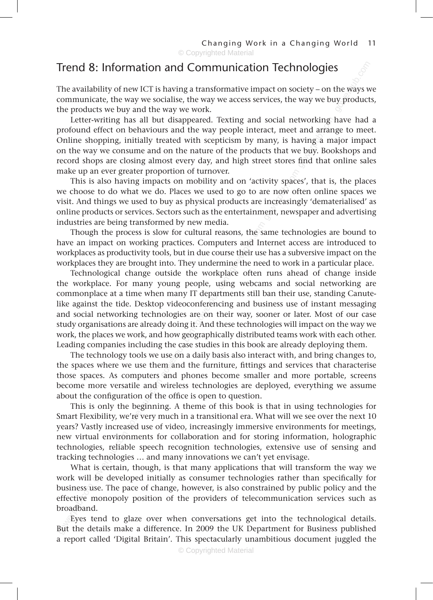## Trend 8: Information and Communication Technologies

**s**<br>the ways w<br>comproduct The availability of new ICT is having a transformative impact on society – on the ways we communicate, the way we socialise, the way we access services, the way we buy products, the products we buy and the way we work.

Letter-writing has all but disappeared. Texting and social networking have had a<br>profound effect on behaviours and the way people interact, meet and arrange to meet.<br>Online shopping, initially treated with scepticism by ma Letter-writing has all but disappeared. Texting and social networking have had a profound effect on behaviours and the way people interact, meet and arrange to meet. Online shopping, initially treated with scepticism by many, is having a major impact on the way we consume and on the nature of the products that we buy. Bookshops and make up an ever greater proportion of turnover.

ivity space<br>re now of<br>increasing<br>ent, news This is also having impacts on mobility and on 'activity spaces', that is, the places we choose to do what we do. Places we used to go to are now often online spaces we visit. And things we used to buy as physical products are increasingly 'dematerialised' as online products or services. Sectors such as the entertainment, newspaper and advertising industries are being transformed by new media.

ons, the same in the search of their use<br>their use the need the need of the need of the search of the search of the search of the search of the search of the search of the search of the search of the search of the search o Though the process is slow for cultural reasons, the same technologies are bound to have an impact on working practices. Computers and Internet access are introduced to workplaces as productivity tools, but in due course their use has a subversive impact on the workplaces they are brought into. They undermine the need to work in a particular place.

the workplace. For many young people, using webcams and social networking are commonplace at a time when many IT departments still ban their use, standing Canute-like against the tide. Desktop videoconferencing and busines Technological change outside the workplace often runs ahead of change inside commonplace at a time when many IT departments still ban their use, standing Canutelike against the tide. Desktop videoconferencing and business use of instant messaging and social networking technologies are on their way, sooner or later. Most of our case study organisations are already doing it. And these technologies will impact on the way we work, the places we work, and how geographically distributed teams work with each other. Leading companies including the case studies in this book are already deploying them.

The technology tools we use on a daily basis also interact with, and bring changes to, the spaces where we use them and the furniture, fittings and services that characterise those spaces. As computers and phones become smaller and more portable, screens become more versatile and wireless technologies are deployed, everything we assume about the configuration of the office is open to question.

betwork, the places we work, and how geogleading companies including the case of the technology tools we use on a d<br>the spaces where we use them and th<br>those spaces. As computers and pho-<br>become more versatile and wireless This is only the beginning. A theme of this book is that in using technologies for Smart Flexibility, we're very much in a transitional era. What will we see over the next 10 years? Vastly increased use of video, increasingly immersive environments for meetings, new virtual environments for collaboration and for storing information, holographic technologies, reliable speech recognition technologies, extensive use of sensing and tracking technologies … and many innovations we can't yet envisage.

What is certain, though, is that many applications that will transform the way we work will be developed initially as consumer technologies rather than specifically for business use. The pace of change, however, is also constrained by public policy and the effective monopoly position of the providers of telecommunication services such as broadband.

Eyes tend to glaze over when conversations get into the technological details. But the details make a difference. In 2009 the UK Department for Business published a report called 'Digital Britain'. This spectacularly unambitious document juggled the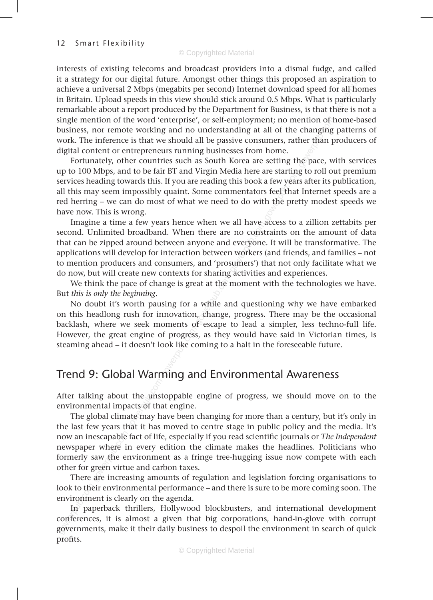ention of l<br>changing<br>her than p<br>ne pace, w and calle<br>spiration to<br>particular<br>particular<br>nere is not interests of existing telecoms and broadcast providers into a dismal fudge, and called it a strategy for our digital future. Amongst other things this proposed an aspiration to achieve a universal 2 Mbps (megabits per second) Internet download speed for all homes in Britain. Upload speeds in this view should stick around 0.5 Mbps. What is particularly remarkable about a report produced by the Department for Business, is that there is not a single mention of the word 'enterprise', or self-employment; no mention of home-based business, nor remote working and no understanding at all of the changing patterns of work. The inference is that we should all be passive consumers, rather than producers of digital content or entrepreneurs running businesses from home.

are starting<br>a few year<br>s feel that<br>h the pret Fortunately, other countries such as South Korea are setting the pace, with services up to 100 Mbps, and to be fair BT and Virgin Media here are starting to roll out premium services heading towards this. If you are reading this book a few years after its publication, all this may seem impossibly quaint. Some commentators feel that Internet speeds are a red herring – we can do most of what we need to do with the pretty modest speeds we have now. This is wrong.

an nave<br>and constitutions<br>of the workers<br>of the sumers') the settions Imagine a time a few years hence when we all have access to a zillion zettabits per second. Unlimited broadband. When there are no constraints on the amount of data that can be zipped around between anyone and everyone. It will be transformative. The applications will develop for interaction between workers (and friends, and families – not to mention producers and consumers, and 'prosumers') that not only facilitate what we do now, but will create new contexts for sharing activities and experiences.

We think the pace of change is great at the moment with the technologies we have. But *this is only the beginning*.

or snamig<br>at at the 1<br>a while ar<br>1, change,<br>of escape No doubt it's worth pausing for a while and questioning why we have embarked on this headlong rush for innovation, change, progress. There may be the occasional backlash, where we seek moments of escape to lead a simpler, less techno-full life. However, the great engine of progress, as they would have said in Victorian times, is steaming ahead – it doesn't look like coming to a halt in the foreseeable future.

## Trend 9: Global Warming and Environmental Awareness

After talking about the unstoppable engine of progress, we should move on to the environmental impacts of that engine.

From 9: Global Warming of progress<br>Iteaming ahead – it doesn't look like compressive animy and the unstropy<br>about the unstoppable environmental impacts of that engine.<br>The global climate may have been the last few years th The global climate may have been changing for more than a century, but it's only in the last few years that it has moved to centre stage in public policy and the media. It's now an inescapable fact of life, especially if you read scientific journals or *The Independent*  newspaper where in every edition the climate makes the headlines. Politicians who formerly saw the environment as a fringe tree-hugging issue now compete with each other for green virtue and carbon taxes.

There are increasing amounts of regulation and legislation forcing organisations to look to their environmental performance – and there is sure to be more coming soon. The environment is clearly on the agenda.

In paperback thrillers, Hollywood blockbusters, and international development conferences, it is almost a given that big corporations, hand-in-glove with corrupt governments, make it their daily business to despoil the environment in search of quick profits.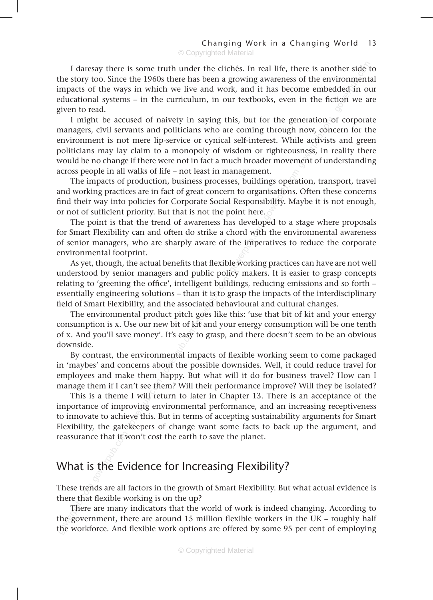ther side<br>vironment<br>dded in ou<br>tion we a I daresay there is some truth under the clichés. In real life, there is another side to the story too. Since the 1960s there has been a growing awareness of the environmental impacts of the ways in which we live and work, and it has become embedded in our educational systems – in the curriculum, in our textbooks, even in the fiction we are given to read.

neration<br>now, condie<br>le activists<br>sness, in 1<br>nent of un I might be accused of naivety in saying this, but for the generation of corporate managers, civil servants and politicians who are coming through now, concern for the environment is not mere lip-service or cynical self-interest. While activists and green politicians may lay claim to a monopoly of wisdom or righteousness, in reality there would be no change if there were not in fact a much broader movement of understanding across people in all walks of life – not least in management.

nt.<br>ngs opera<br>nisations.<br>ibility. Ma<br>. The impacts of production, business processes, buildings operation, transport, travel and working practices are in fact of great concern to organisations. Often these concerns find their way into policies for Corporate Social Responsibility. Maybe it is not enough, or not of sufficient priority. But that is not the point here.

as develop<br>hord with<br>the imper<br>le working<br>icy maker The point is that the trend of awareness has developed to a stage where proposals for Smart Flexibility can and often do strike a chord with the environmental awareness of senior managers, who are sharply aware of the imperatives to reduce the corporate environmental footprint.

gent build<br>in it is to g<br>iated behagoes like As yet, though, the actual benefits that flexible working practices can have are not well understood by senior managers and public policy makers. It is easier to grasp concepts relating to 'greening the office', intelligent buildings, reducing emissions and so forth – essentially engineering solutions – than it is to grasp the impacts of the interdisciplinary field of Smart Flexibility, and the associated behavioural and cultural changes.

The environmental product pitch goes like this: 'use that bit of kit and your energy consumption is x. Use our new bit of kit and your energy consumption will be one tenth of x. And you'll save money'. It's easy to grasp, and there doesn't seem to be an obvious downside.

By contrast, the environmental impacts of flexible working seem to come packaged in 'maybes' and concerns about the possible downsides. Well, it could reduce travel for employees and make them happy. But what will it do for business travel? How can I manage them if I can't see them? Will their performance improve? Will they be isolated?

gower of start of the set and the set of the stay downside.<br>By contrast, the environmental im<br>in 'maybes' and concerns about the pe<br>employees and make them happy. Bu<br>manage them if I can't see them? Will<br>This is a theme I This is a theme I will return to later in Chapter 13. There is an acceptance of the importance of improving environmental performance, and an increasing receptiveness to innovate to achieve this. But in terms of accepting sustainability arguments for Smart Flexibility, the gatekeepers of change want some facts to back up the argument, and reassurance that it won't cost the earth to save the planet.

## What is the Evidence for Increasing Flexibility?

These trends are all factors in the growth of Smart Flexibility. But what actual evidence is there that flexible working is on the up?

There are many indicators that the world of work is indeed changing. According to the government, there are around 15 million flexible workers in the UK – roughly half the workforce. And flexible work options are offered by some 95 per cent of employing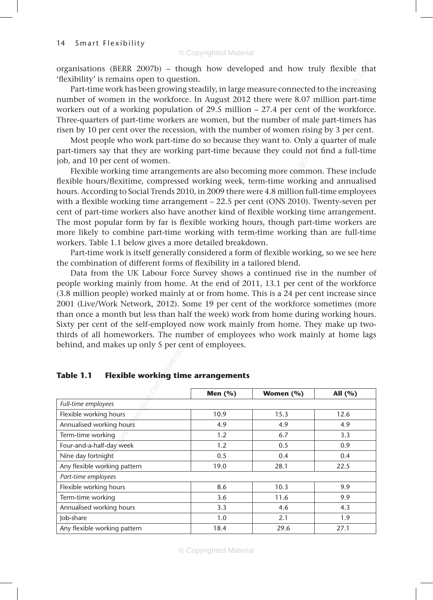organisations (BERR 2007b) – though how developed and how truly flexible that 'flexibility' is remains open to question.

exible the<br>e increasin<br>n part-time<br>workforc Part-time work has been growing steadily, in large measure connected to the increasing number of women in the workforce. In August 2012 there were 8.07 million part-time workers out of a working population of 29.5 million – 27.4 per cent of the workforce. Three-quarters of part-time workers are women, but the number of male part-timers has risen by 10 per cent over the recession, with the number of women rising by 3 per cent.

f male par<br>i rising by<br>)nly a qua<br>d not find<br>of Most people who work part-time do so because they want to. Only a quarter of male part-timers say that they are working part-time because they could not find a full-time job, and 10 per cent of women.

my nours,<br>h term-tir<br>reakdown<br>a form of i<br>in a tailor g more con<br>4.8 millio<br>4.8 millio<br>(ONS 201<br>ble workir Flexible working time arrangements are also becoming more common. These include flexible hours/flexitime, compressed working week, term-time working and annualised hours. According to Social Trends 2010, in 2009 there were 4.8 million full-time employees with a flexible working time arrangement – 22.5 per cent (ONS 2010). Twenty-seven per cent of part-time workers also have another kind of flexible working time arrangement. The most popular form by far is flexible working hours, though part-time workers are more likely to combine part-time working with term-time working than are full-time workers. Table 1.1 below gives a more detailed breakdown.

Part-time work is itself generally considered a form of flexible working, so we see here the combination of different forms of flexibility in a tailored blend.

burvey sha<br>t the end<br>or from h<br>ne 19 per<br>the week)<br>ow work 1 Data from the UK Labour Force Survey shows a continued rise in the number of people working mainly from home. At the end of 2011, 13.1 per cent of the workforce (3.8 million people) worked mainly at or from home. This is a 24 per cent increase since 2001 (Live/Work Network, 2012). Some 19 per cent of the workforce sometimes (more than once a month but less than half the week) work from home during working hours. Sixty per cent of the self-employed now work mainly from home. They make up twothirds of all homeworkers. The number of employees who work mainly at home lags behind, and makes up only 5 per cent of employees.

| $P_{\text{tot}}$ can be the sense employed how would make $P_{\text{tot}}$ to the normal state<br>thirds of all homeworkers. The number of employees who work mainly at home lags |            |               |           |
|-----------------------------------------------------------------------------------------------------------------------------------------------------------------------------------|------------|---------------|-----------|
| behind, and makes up only 5 per cent of employees.                                                                                                                                |            |               |           |
|                                                                                                                                                                                   |            |               |           |
|                                                                                                                                                                                   |            |               |           |
| <b>Flexible working time arrangements</b><br>Table 1.1                                                                                                                            |            |               |           |
|                                                                                                                                                                                   |            |               |           |
|                                                                                                                                                                                   | Men $(% )$ | Women $(\% )$ | All $(%)$ |
| Full-time employees                                                                                                                                                               |            |               |           |
| Flexible working hours                                                                                                                                                            | 10.9       | 15.3          | 12.6      |
| Annualised working hours                                                                                                                                                          | 4.9        | 4.9           | 4.9       |
| Term-time working                                                                                                                                                                 | 1.2        | 6.7           | 3.3       |
| Four-and-a-half-day week                                                                                                                                                          | 1.2        | 0.5           | 0.9       |
| Nine day fortnight                                                                                                                                                                | 0.5        | 0.4           | 0.4       |
| Any flexible working pattern                                                                                                                                                      | 19.0       | 28.1          | 22.5      |
| Part-time employees                                                                                                                                                               |            |               |           |
| Flexible working hours                                                                                                                                                            | 8.6        | 10.3          | 9.9       |
| Term-time working                                                                                                                                                                 | 3.6        | 11.6          | 9.9       |
| Annualised working hours                                                                                                                                                          | 3.3        | 4.6           | 4.3       |
| Job-share                                                                                                                                                                         | 1.0        | 2.1           | 1.9       |
| Any flexible working pattern                                                                                                                                                      | 18.4       | 29.6          | 27.1      |

#### **Table 1.1 Flexible working time arrangements**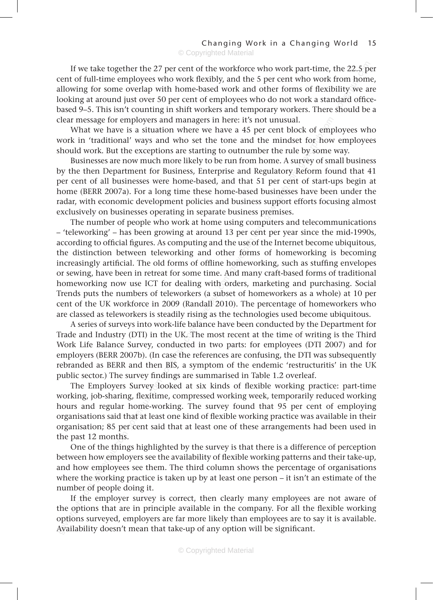If we take together the 27 per cent of the workforce who work part-time, the 22.5 per<br>t of full-time employees who work flexibly, and the 5 per cent who work from home,<br>wing for some overlap with home-based work and other cent of full-time employees who work flexibly, and the 5 per cent who work from home, allowing for some overlap with home-based work and other forms of flexibility we are looking at around just over 50 per cent of employees who do not work a standard officebased 9–5. This isn't counting in shift workers and temporary workers. There should be a clear message for employers and managers in here: it's not unusual.

ck of emp<br>et for how<br>eby some<br>rvey of sm What we have is a situation where we have a 45 per cent block of employees who work in 'traditional' ways and who set the tone and the mindset for how employees should work. But the exceptions are starting to outnumber the rule by some way.

guiatory<br>per cent<br>pusinesses<br>support ef<br>premises. Businesses are now much more likely to be run from home. A survey of small business by the then Department for Business, Enterprise and Regulatory Reform found that 41 per cent of all businesses were home-based, and that 51 per cent of start-ups begin at home (BERR 2007a). For a long time these home-based businesses have been under the radar, with economic development policies and business support efforts focusing almost exclusively on businesses operating in separate business premises.

bor sewing, rave been in retreat for some time. And many erare-based forms or traditional<br>homeworking now use ICT for dealing with orders, marketing and purchasing. Social<br>Trends puts the numbers of teleworkers (a subset o sing comp<br>3 per cent<br>ne use of tl<br>ne forms<br>nomework The number of people who work at home using computers and telecommunications – 'teleworking' – has been growing at around 13 per cent per year since the mid-1990s, according to official figures. As computing and the use of the Internet become ubiquitous, the distinction between teleworking and other forms of homeworking is becoming increasingly artificial. The old forms of offline homeworking, such as stuffing envelopes or sewing, have been in retreat for some time. And many craft-based forms of traditional Trends puts the numbers of teleworkers (a subset of homeworkers as a whole) at 10 per cent of the UK workforce in 2009 (Randall 2010). The percentage of homeworkers who are classed as teleworkers is steadily rising as the technologies used become ubiquitous.

A series of surveys into work-life balance have been conducted by the Department for Trade and Industry (DTI) in the UK. The most recent at the time of writing is the Third Work Life Balance Survey, conducted in two parts: for employees (DTI 2007) and for employers (BERR 2007b). (In case the references are confusing, the DTI was subsequently rebranded as BERR and then BIS, a symptom of the endemic 'restructuritis' in the UK public sector.) The survey findings are summarised in Table 1.2 overleaf.

Frade and Industry (DTI) in the UK. The Work Life Balance Survey, conducted employers (BERR 2007b). (In case the rebranded as BERR and then BIS, a sypublic sector.) The survey findings are The Employers Survey looked at wo The Employers Survey looked at six kinds of flexible working practice: part-time working, job-sharing, flexitime, compressed working week, temporarily reduced working hours and regular home-working. The survey found that 95 per cent of employing organisations said that at least one kind of flexible working practice was available in their organisation; 85 per cent said that at least one of these arrangements had been used in the past 12 months.

One of the things highlighted by the survey is that there is a difference of perception between how employers see the availability of flexible working patterns and their take-up, and how employees see them. The third column shows the percentage of organisations where the working practice is taken up by at least one person – it isn't an estimate of the number of people doing it.

If the employer survey is correct, then clearly many employees are not aware of the options that are in principle available in the company. For all the flexible working options surveyed, employers are far more likely than employees are to say it is available. Availability doesn't mean that take-up of any option will be significant.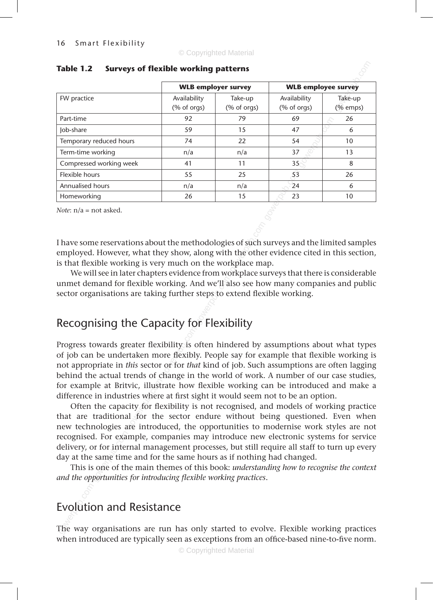| Table 1.2               | Surveys of flexible working patterns |                          |                                                            |                       |
|-------------------------|--------------------------------------|--------------------------|------------------------------------------------------------|-----------------------|
|                         | <b>WLB</b> employer survey           |                          | <b>WLB</b> employee survey                                 |                       |
| FW practice             | Availability<br>$(% of orgs)$        | Take-up<br>$(% of orgs)$ | Availability<br>$(% \mathcal{L}_{0}^{\infty})$ (% of orgs) | Take-up<br>$(%$ emps) |
| Part-time               | 92                                   | 79                       | 69                                                         | 26                    |
| Job-share               | 59                                   | 15                       | 47                                                         | 6                     |
| Temporary reduced hours | 74                                   | 22                       | 54                                                         | 10                    |
| Term-time working       | n/a                                  | n/a                      | 37                                                         | 13                    |
| Compressed working week | 41                                   | 11                       | $35$                                                       | 8                     |
| Flexible hours          | 55                                   | 25                       | 53                                                         | 26                    |
| <b>Annualised hours</b> | n/a                                  | n/a                      | 24                                                         | 6                     |
| Homeworking             | 26                                   | 15                       | 23                                                         | 10                    |

#### **Table 1.2 Surveys of flexible working patterns**

*Note*: n/a = not asked.

es of such s<br>in the other<br>steplace such I have some reservations about the methodologies of such surveys and the limited samples employed. However, what they show, along with the other evidence cited in this section, is that flexible working is very much on the workplace map.

ectrom we<br>nd we'll a<br>steps to ex<br>or Flexik We will see in later chapters evidence from workplace surveys that there is considerable unmet demand for flexible working. And we'll also see how many companies and public sector organisations are taking further steps to extend flexible working.

## Recognising the Capacity for Flexibility

Progress towards greater flexibility is of job can be undertaken more flexibility is of job can be undertaken more flexibility is or example at Britvic, illustrate how difference in industries where at first sintil of the Progress towards greater flexibility is often hindered by assumptions about what types of job can be undertaken more flexibly. People say for example that flexible working is not appropriate in *this* sector or for *that* kind of job. Such assumptions are often lagging behind the actual trends of change in the world of work. A number of our case studies, for example at Britvic, illustrate how flexible working can be introduced and make a difference in industries where at first sight it would seem not to be an option.

Often the capacity for flexibility is not recognised, and models of working practice that are traditional for the sector endure without being questioned. Even when new technologies are introduced, the opportunities to modernise work styles are not recognised. For example, companies may introduce new electronic systems for service delivery, or for internal management processes, but still require all staff to turn up every day at the same time and for the same hours as if nothing had changed.

This is one of the main themes of this book: *understanding how to recognise the context and the opportunities for introducing flexible working practices*.

## Evolution and Resistance

The way organisations are run has only started to evolve. Flexible working practices when introduced are typically seen as exceptions from an office-based nine-to-five norm.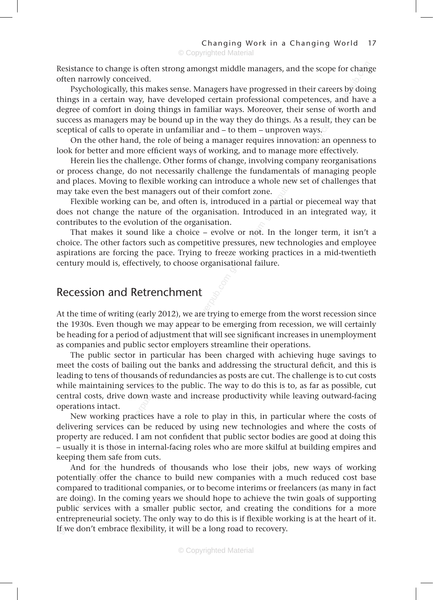Resistance to change is often strong amongst middle managers, and the scope for change often narrowly conceived.

efor changers<br>by doir<br>and have<br>f worth an Psychologically, this makes sense. Managers have progressed in their careers by doing things in a certain way, have developed certain professional competences, and have a degree of comfort in doing things in familiar ways. Moreover, their sense of worth and success as managers may be bound up in the way they do things. As a result, they can be sceptical of calls to operate in unfamiliar and – to them – unproven ways.

s a result,<br>n ways.<br>ation: an<br>more effe<br>npany reor On the other hand, the role of being a manager requires innovation: an openness to look for better and more efficient ways of working, and to manage more effectively.

damentais<br>hole new<br>ne.<br>a partial o<br>luced in Herein lies the challenge. Other forms of change, involving company reorganisations or process change, do not necessarily challenge the fundamentals of managing people and places. Moving to flexible working can introduce a whole new set of challenges that may take even the best managers out of their comfort zone.

Flexible working can be, and often is, introduced in a partial or piecemeal way that does not change the nature of the organisation. Introduced in an integrated way, it contributes to the evolution of the organisation.

e or not.<br>The sessures, n<br>The working<br>tional fail That makes it sound like a choice – evolve or not. In the longer term, it isn't a choice. The other factors such as competitive pressures, new technologies and employee aspirations are forcing the pace. Trying to freeze working practices in a mid-twentieth century mould is, effectively, to choose organisational failure.

## Recession and Retrenchment

 $\int$ are trying<br>are trying At the time of writing (early 2012), we are trying to emerge from the worst recession since the 1930s. Even though we may appear to be emerging from recession, we will certainly be heading for a period of adjustment that will see significant increases in unemployment as companies and public sector employers streamline their operations.

The public sector in particular has been charged with achieving huge savings to meet the costs of bailing out the banks and addressing the structural deficit, and this is leading to tens of thousands of redundancies as posts are cut. The challenge is to cut costs while maintaining services to the public. The way to do this is to, as far as possible, cut central costs, drive down waste and increase productivity while leaving outward-facing operations intact.

New working practices have a role to play in this, in particular where the costs of delivering services can be reduced by using new technologies and where the costs of property are reduced. I am not confident that public sector bodies are good at doing this – usually it is those in internal-facing roles who are more skilful at building empires and keeping them safe from cuts.

The beading for a period of adjustment that as companies and public sector employ. The public sector in particular has meet the costs of bailing out the bank leading to tens of thousands of redundaming while maintaining se And for the hundreds of thousands who lose their jobs, new ways of working potentially offer the chance to build new companies with a much reduced cost base compared to traditional companies, or to become interims or freelancers (as many in fact are doing). In the coming years we should hope to achieve the twin goals of supporting public services with a smaller public sector, and creating the conditions for a more entrepreneurial society. The only way to do this is if flexible working is at the heart of it. If we don't embrace flexibility, it will be a long road to recovery.